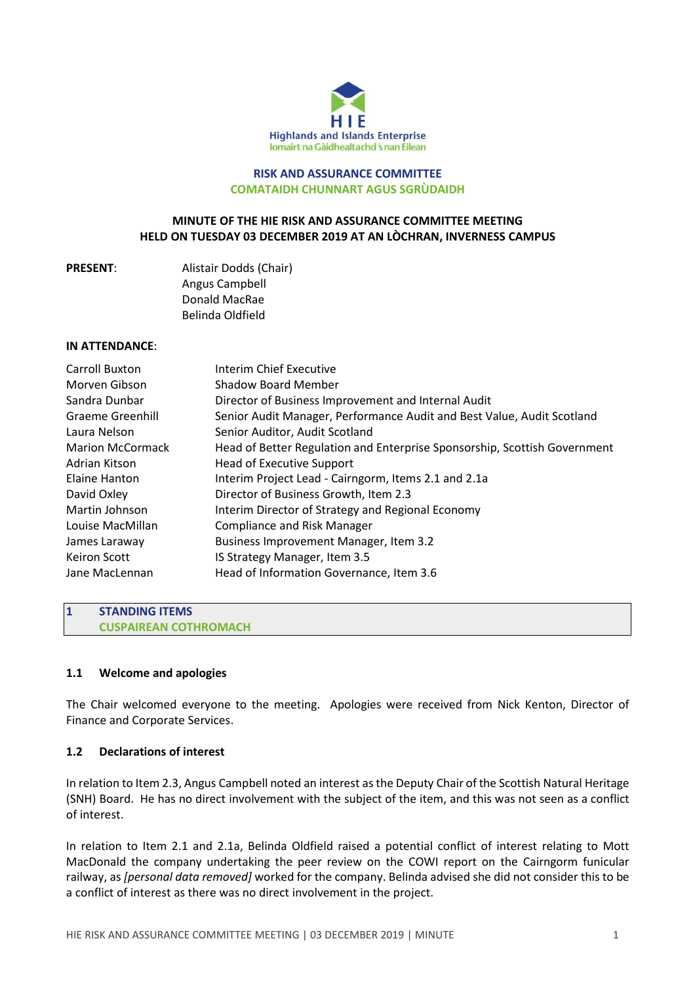

### **RISK AND ASSURANCE COMMITTEE COMATAIDH CHUNNART AGUS SGRÙDAIDH**

## **MINUTE OF THE HIE RISK AND ASSURANCE COMMITTEE MEETING HELD ON TUESDAY 03 DECEMBER 2019 AT AN LÒCHRAN, INVERNESS CAMPUS**

|  |  | <b>PRESENT:</b> |  |  |  |  |
|--|--|-----------------|--|--|--|--|
|--|--|-----------------|--|--|--|--|

**Alistair Dodds (Chair)** Angus Campbell Donald MacRae Belinda Oldfield

### **IN ATTENDANCE**:

| Carroll Buxton          | Interim Chief Executive                                                   |
|-------------------------|---------------------------------------------------------------------------|
| Morven Gibson           | Shadow Board Member                                                       |
| Sandra Dunbar           | Director of Business Improvement and Internal Audit                       |
| <b>Graeme Greenhill</b> | Senior Audit Manager, Performance Audit and Best Value, Audit Scotland    |
| Laura Nelson            | Senior Auditor, Audit Scotland                                            |
| <b>Marion McCormack</b> | Head of Better Regulation and Enterprise Sponsorship, Scottish Government |
| Adrian Kitson           | <b>Head of Executive Support</b>                                          |
| Elaine Hanton           | Interim Project Lead - Cairngorm, Items 2.1 and 2.1a                      |
| David Oxley             | Director of Business Growth, Item 2.3                                     |
| Martin Johnson          | Interim Director of Strategy and Regional Economy                         |
| Louise MacMillan        | <b>Compliance and Risk Manager</b>                                        |
| James Laraway           | <b>Business Improvement Manager, Item 3.2</b>                             |
| <b>Keiron Scott</b>     | IS Strategy Manager, Item 3.5                                             |
| Jane MacLennan          | Head of Information Governance, Item 3.6                                  |

**1 STANDING ITEMS CUSPAIREAN COTHROMACH**

# **1.1 Welcome and apologies**

The Chair welcomed everyone to the meeting. Apologies were received from Nick Kenton, Director of Finance and Corporate Services.

# **1.2 Declarations of interest**

In relation to Item 2.3, Angus Campbell noted an interest asthe Deputy Chair of the Scottish Natural Heritage (SNH) Board. He has no direct involvement with the subject of the item, and this was not seen as a conflict of interest.

In relation to Item 2.1 and 2.1a, Belinda Oldfield raised a potential conflict of interest relating to Mott MacDonald the company undertaking the peer review on the COWI report on the Cairngorm funicular railway, as *[personal data removed]* worked for the company. Belinda advised she did not consider this to be a conflict of interest as there was no direct involvement in the project.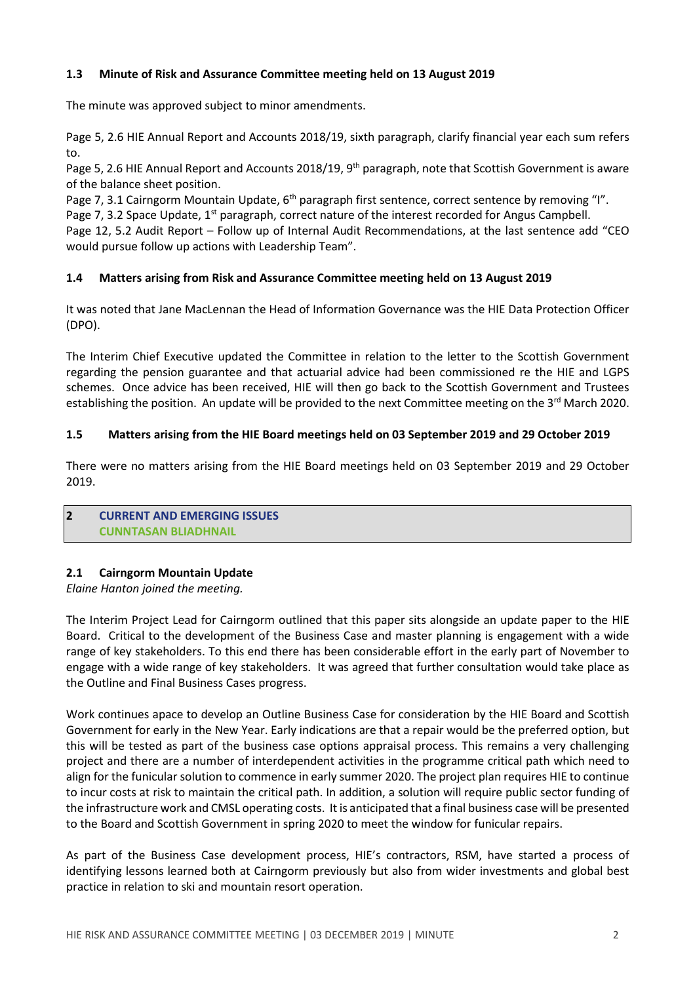# **1.3 Minute of Risk and Assurance Committee meeting held on 13 August 2019**

The minute was approved subject to minor amendments.

Page 5, 2.6 HIE Annual Report and Accounts 2018/19, sixth paragraph, clarify financial year each sum refers to.

Page 5, 2.6 HIE Annual Report and Accounts 2018/19, 9<sup>th</sup> paragraph, note that Scottish Government is aware of the balance sheet position.

Page 7, 3.1 Cairngorm Mountain Update, 6<sup>th</sup> paragraph first sentence, correct sentence by removing "I". Page 7, 3.2 Space Update, 1<sup>st</sup> paragraph, correct nature of the interest recorded for Angus Campbell. Page 12, 5.2 Audit Report – Follow up of Internal Audit Recommendations, at the last sentence add "CEO would pursue follow up actions with Leadership Team".

# **1.4 Matters arising from Risk and Assurance Committee meeting held on 13 August 2019**

It was noted that Jane MacLennan the Head of Information Governance was the HIE Data Protection Officer (DPO).

The Interim Chief Executive updated the Committee in relation to the letter to the Scottish Government regarding the pension guarantee and that actuarial advice had been commissioned re the HIE and LGPS schemes. Once advice has been received, HIE will then go back to the Scottish Government and Trustees establishing the position. An update will be provided to the next Committee meeting on the 3<sup>rd</sup> March 2020.

## **1.5 Matters arising from the HIE Board meetings held on 03 September 2019 and 29 October 2019**

There were no matters arising from the HIE Board meetings held on 03 September 2019 and 29 October 2019.

#### **2 CURRENT AND EMERGING ISSUES CUNNTASAN BLIADHNAIL**

# **2.1 Cairngorm Mountain Update**

*Elaine Hanton joined the meeting.*

The Interim Project Lead for Cairngorm outlined that this paper sits alongside an update paper to the HIE Board. Critical to the development of the Business Case and master planning is engagement with a wide range of key stakeholders. To this end there has been considerable effort in the early part of November to engage with a wide range of key stakeholders. It was agreed that further consultation would take place as the Outline and Final Business Cases progress.

Work continues apace to develop an Outline Business Case for consideration by the HIE Board and Scottish Government for early in the New Year. Early indications are that a repair would be the preferred option, but this will be tested as part of the business case options appraisal process. This remains a very challenging project and there are a number of interdependent activities in the programme critical path which need to align for the funicular solution to commence in early summer 2020. The project plan requires HIE to continue to incur costs at risk to maintain the critical path. In addition, a solution will require public sector funding of the infrastructure work and CMSL operating costs. It is anticipated that a final business case will be presented to the Board and Scottish Government in spring 2020 to meet the window for funicular repairs.

As part of the Business Case development process, HIE's contractors, RSM, have started a process of identifying lessons learned both at Cairngorm previously but also from wider investments and global best practice in relation to ski and mountain resort operation.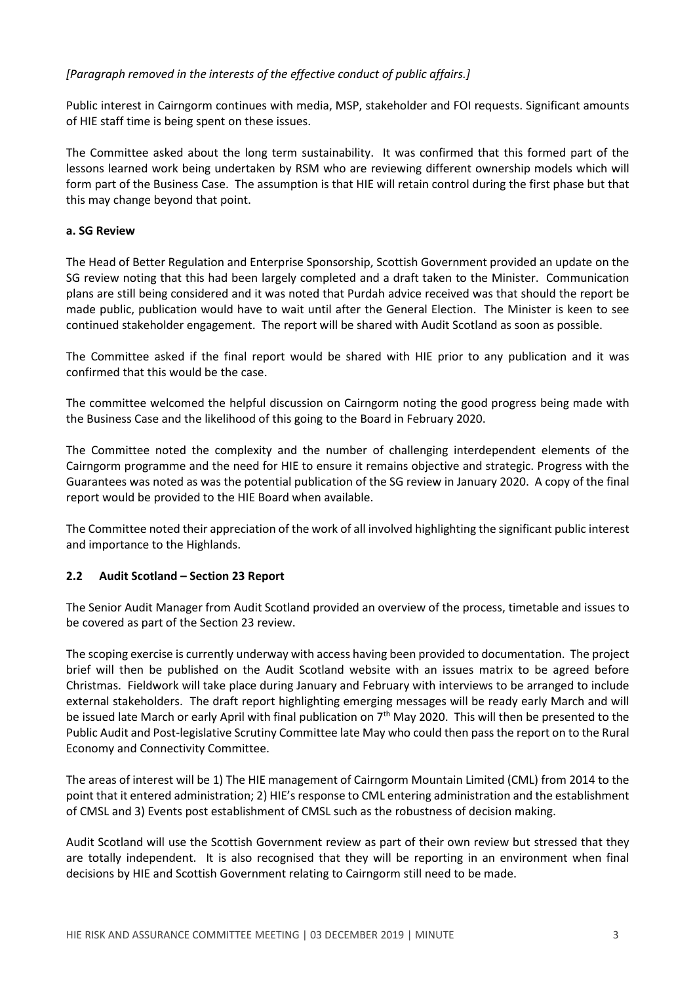# *[Paragraph removed in the interests of the effective conduct of public affairs.]*

Public interest in Cairngorm continues with media, MSP, stakeholder and FOI requests. Significant amounts of HIE staff time is being spent on these issues.

The Committee asked about the long term sustainability. It was confirmed that this formed part of the lessons learned work being undertaken by RSM who are reviewing different ownership models which will form part of the Business Case. The assumption is that HIE will retain control during the first phase but that this may change beyond that point.

## **a. SG Review**

The Head of Better Regulation and Enterprise Sponsorship, Scottish Government provided an update on the SG review noting that this had been largely completed and a draft taken to the Minister. Communication plans are still being considered and it was noted that Purdah advice received was that should the report be made public, publication would have to wait until after the General Election. The Minister is keen to see continued stakeholder engagement. The report will be shared with Audit Scotland as soon as possible.

The Committee asked if the final report would be shared with HIE prior to any publication and it was confirmed that this would be the case.

The committee welcomed the helpful discussion on Cairngorm noting the good progress being made with the Business Case and the likelihood of this going to the Board in February 2020.

The Committee noted the complexity and the number of challenging interdependent elements of the Cairngorm programme and the need for HIE to ensure it remains objective and strategic. Progress with the Guarantees was noted as was the potential publication of the SG review in January 2020. A copy of the final report would be provided to the HIE Board when available.

The Committee noted their appreciation of the work of all involved highlighting the significant public interest and importance to the Highlands.

# **2.2 Audit Scotland – Section 23 Report**

The Senior Audit Manager from Audit Scotland provided an overview of the process, timetable and issues to be covered as part of the Section 23 review.

The scoping exercise is currently underway with access having been provided to documentation. The project brief will then be published on the Audit Scotland website with an issues matrix to be agreed before Christmas. Fieldwork will take place during January and February with interviews to be arranged to include external stakeholders. The draft report highlighting emerging messages will be ready early March and will be issued late March or early April with final publication on 7<sup>th</sup> May 2020. This will then be presented to the Public Audit and Post-legislative Scrutiny Committee late May who could then passthe report on to the Rural Economy and Connectivity Committee.

The areas of interest will be 1) The HIE management of Cairngorm Mountain Limited (CML) from 2014 to the point that it entered administration; 2) HIE's response to CML entering administration and the establishment of CMSL and 3) Events post establishment of CMSL such as the robustness of decision making.

Audit Scotland will use the Scottish Government review as part of their own review but stressed that they are totally independent. It is also recognised that they will be reporting in an environment when final decisions by HIE and Scottish Government relating to Cairngorm still need to be made.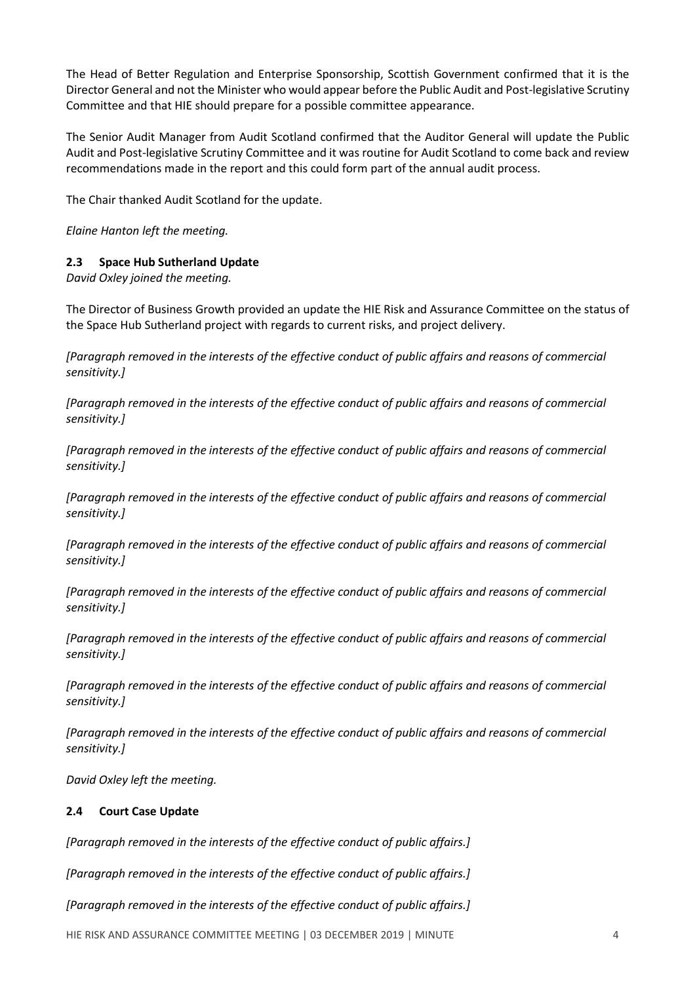The Head of Better Regulation and Enterprise Sponsorship, Scottish Government confirmed that it is the Director General and not the Minister who would appear before the Public Audit and Post-legislative Scrutiny Committee and that HIE should prepare for a possible committee appearance.

The Senior Audit Manager from Audit Scotland confirmed that the Auditor General will update the Public Audit and Post-legislative Scrutiny Committee and it was routine for Audit Scotland to come back and review recommendations made in the report and this could form part of the annual audit process.

The Chair thanked Audit Scotland for the update.

*Elaine Hanton left the meeting.*

# **2.3 Space Hub Sutherland Update**

*David Oxley joined the meeting.*

The Director of Business Growth provided an update the HIE Risk and Assurance Committee on the status of the Space Hub Sutherland project with regards to current risks, and project delivery.

*[Paragraph removed in the interests of the effective conduct of public affairs and reasons of commercial sensitivity.]*

*[Paragraph removed in the interests of the effective conduct of public affairs and reasons of commercial sensitivity.]*

*[Paragraph removed in the interests of the effective conduct of public affairs and reasons of commercial sensitivity.]*

*[Paragraph removed in the interests of the effective conduct of public affairs and reasons of commercial sensitivity.]*

*[Paragraph removed in the interests of the effective conduct of public affairs and reasons of commercial sensitivity.]*

*[Paragraph removed in the interests of the effective conduct of public affairs and reasons of commercial sensitivity.]*

*[Paragraph removed in the interests of the effective conduct of public affairs and reasons of commercial sensitivity.]*

*[Paragraph removed in the interests of the effective conduct of public affairs and reasons of commercial sensitivity.]*

*[Paragraph removed in the interests of the effective conduct of public affairs and reasons of commercial sensitivity.]*

*David Oxley left the meeting.*

### **2.4 Court Case Update**

*[Paragraph removed in the interests of the effective conduct of public affairs.]*

*[Paragraph removed in the interests of the effective conduct of public affairs.]*

*[Paragraph removed in the interests of the effective conduct of public affairs.]*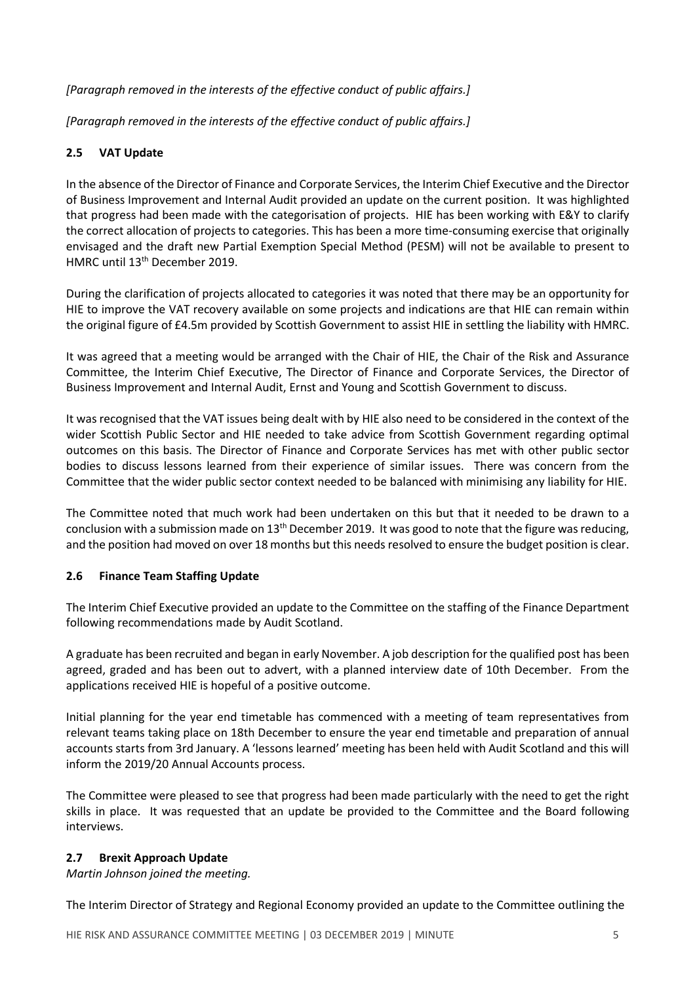*[Paragraph removed in the interests of the effective conduct of public affairs.]*

*[Paragraph removed in the interests of the effective conduct of public affairs.]*

# **2.5 VAT Update**

In the absence of the Director of Finance and Corporate Services, the Interim Chief Executive and the Director of Business Improvement and Internal Audit provided an update on the current position. It was highlighted that progress had been made with the categorisation of projects. HIE has been working with E&Y to clarify the correct allocation of projects to categories. This has been a more time-consuming exercise that originally envisaged and the draft new Partial Exemption Special Method (PESM) will not be available to present to HMRC until 13<sup>th</sup> December 2019.

During the clarification of projects allocated to categories it was noted that there may be an opportunity for HIE to improve the VAT recovery available on some projects and indications are that HIE can remain within the original figure of £4.5m provided by Scottish Government to assist HIE in settling the liability with HMRC.

It was agreed that a meeting would be arranged with the Chair of HIE, the Chair of the Risk and Assurance Committee, the Interim Chief Executive, The Director of Finance and Corporate Services, the Director of Business Improvement and Internal Audit, Ernst and Young and Scottish Government to discuss.

It was recognised that the VAT issues being dealt with by HIE also need to be considered in the context of the wider Scottish Public Sector and HIE needed to take advice from Scottish Government regarding optimal outcomes on this basis. The Director of Finance and Corporate Services has met with other public sector bodies to discuss lessons learned from their experience of similar issues. There was concern from the Committee that the wider public sector context needed to be balanced with minimising any liability for HIE.

The Committee noted that much work had been undertaken on this but that it needed to be drawn to a conclusion with a submission made on 13<sup>th</sup> December 2019. It was good to note that the figure was reducing, and the position had moved on over 18 months but this needs resolved to ensure the budget position is clear.

# **2.6 Finance Team Staffing Update**

The Interim Chief Executive provided an update to the Committee on the staffing of the Finance Department following recommendations made by Audit Scotland.

A graduate has been recruited and began in early November. A job description forthe qualified post has been agreed, graded and has been out to advert, with a planned interview date of 10th December. From the applications received HIE is hopeful of a positive outcome.

Initial planning for the year end timetable has commenced with a meeting of team representatives from relevant teams taking place on 18th December to ensure the year end timetable and preparation of annual accounts starts from 3rd January. A 'lessons learned' meeting has been held with Audit Scotland and this will inform the 2019/20 Annual Accounts process.

The Committee were pleased to see that progress had been made particularly with the need to get the right skills in place. It was requested that an update be provided to the Committee and the Board following interviews.

### **2.7 Brexit Approach Update**

*Martin Johnson joined the meeting.*

The Interim Director of Strategy and Regional Economy provided an update to the Committee outlining the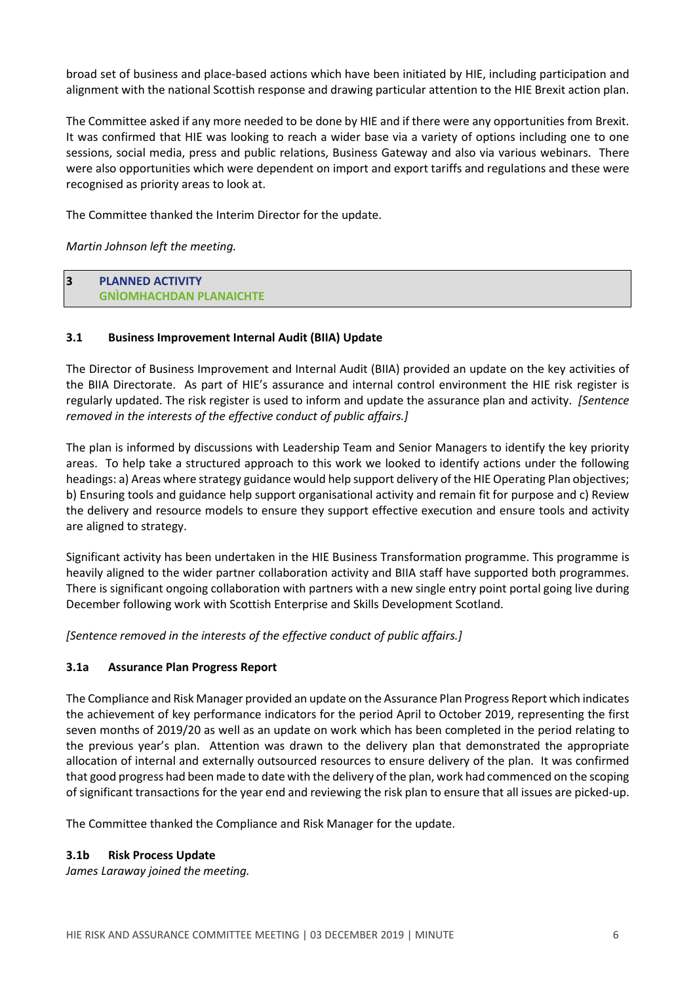broad set of business and place-based actions which have been initiated by HIE, including participation and alignment with the national Scottish response and drawing particular attention to the HIE Brexit action plan.

The Committee asked if any more needed to be done by HIE and if there were any opportunities from Brexit. It was confirmed that HIE was looking to reach a wider base via a variety of options including one to one sessions, social media, press and public relations, Business Gateway and also via various webinars. There were also opportunities which were dependent on import and export tariffs and regulations and these were recognised as priority areas to look at.

The Committee thanked the Interim Director for the update.

*Martin Johnson left the meeting.*

**3 PLANNED ACTIVITY GNÌOMHACHDAN PLANAICHTE**

## **3.1 Business Improvement Internal Audit (BIIA) Update**

The Director of Business Improvement and Internal Audit (BIIA) provided an update on the key activities of the BIIA Directorate. As part of HIE's assurance and internal control environment the HIE risk register is regularly updated. The risk register is used to inform and update the assurance plan and activity. *[Sentence removed in the interests of the effective conduct of public affairs.]*

The plan is informed by discussions with Leadership Team and Senior Managers to identify the key priority areas. To help take a structured approach to this work we looked to identify actions under the following headings: a) Areas where strategy guidance would help support delivery of the HIE Operating Plan objectives; b) Ensuring tools and guidance help support organisational activity and remain fit for purpose and c) Review the delivery and resource models to ensure they support effective execution and ensure tools and activity are aligned to strategy.

Significant activity has been undertaken in the HIE Business Transformation programme. This programme is heavily aligned to the wider partner collaboration activity and BIIA staff have supported both programmes. There is significant ongoing collaboration with partners with a new single entry point portal going live during December following work with Scottish Enterprise and Skills Development Scotland.

*[Sentence removed in the interests of the effective conduct of public affairs.]*

# **3.1a Assurance Plan Progress Report**

The Compliance and Risk Manager provided an update on the Assurance Plan Progress Report which indicates the achievement of key performance indicators for the period April to October 2019, representing the first seven months of 2019/20 as well as an update on work which has been completed in the period relating to the previous year's plan. Attention was drawn to the delivery plan that demonstrated the appropriate allocation of internal and externally outsourced resources to ensure delivery of the plan. It was confirmed that good progress had been made to date with the delivery of the plan, work had commenced on the scoping of significant transactions for the year end and reviewing the risk plan to ensure that all issues are picked-up.

The Committee thanked the Compliance and Risk Manager for the update.

### **3.1b Risk Process Update**

*James Laraway joined the meeting.*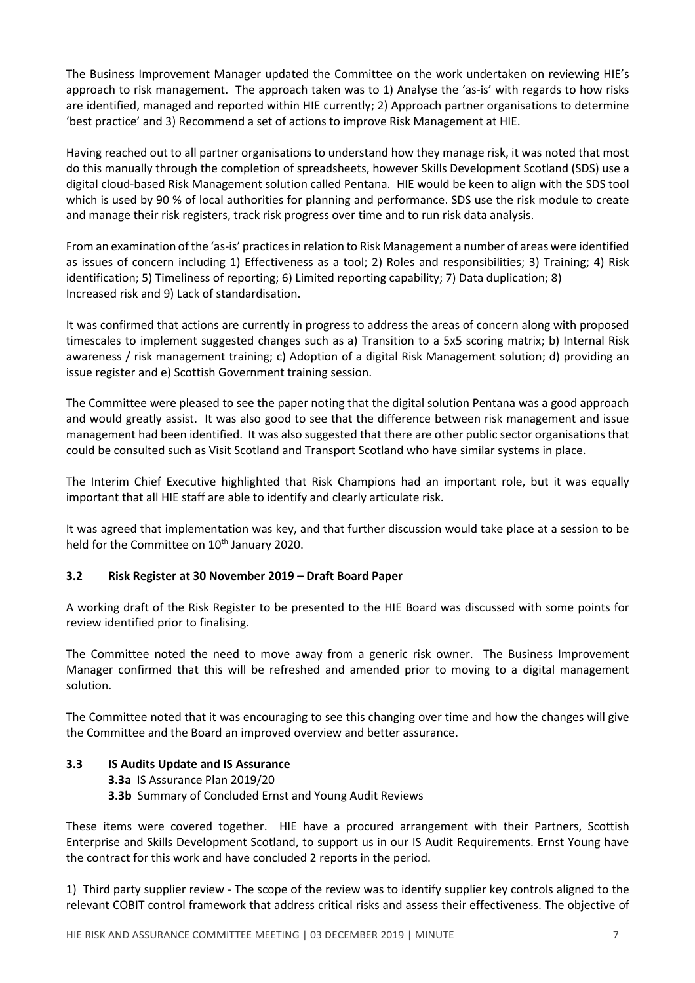The Business Improvement Manager updated the Committee on the work undertaken on reviewing HIE's approach to risk management. The approach taken was to 1) Analyse the 'as-is' with regards to how risks are identified, managed and reported within HIE currently; 2) Approach partner organisations to determine 'best practice' and 3) Recommend a set of actions to improve Risk Management at HIE.

Having reached out to all partner organisations to understand how they manage risk, it was noted that most do this manually through the completion of spreadsheets, however Skills Development Scotland (SDS) use a digital cloud-based Risk Management solution called Pentana. HIE would be keen to align with the SDS tool which is used by 90 % of local authorities for planning and performance. SDS use the risk module to create and manage their risk registers, track risk progress over time and to run risk data analysis.

From an examination of the 'as-is' practices in relation to Risk Management a number of areas were identified as issues of concern including 1) Effectiveness as a tool; 2) Roles and responsibilities; 3) Training; 4) Risk identification; 5) Timeliness of reporting; 6) Limited reporting capability; 7) Data duplication; 8) Increased risk and 9) Lack of standardisation.

It was confirmed that actions are currently in progress to address the areas of concern along with proposed timescales to implement suggested changes such as a) Transition to a 5x5 scoring matrix; b) Internal Risk awareness / risk management training; c) Adoption of a digital Risk Management solution; d) providing an issue register and e) Scottish Government training session.

The Committee were pleased to see the paper noting that the digital solution Pentana was a good approach and would greatly assist. It was also good to see that the difference between risk management and issue management had been identified. It was also suggested that there are other public sector organisations that could be consulted such as Visit Scotland and Transport Scotland who have similar systems in place.

The Interim Chief Executive highlighted that Risk Champions had an important role, but it was equally important that all HIE staff are able to identify and clearly articulate risk.

It was agreed that implementation was key, and that further discussion would take place at a session to be held for the Committee on 10<sup>th</sup> January 2020.

# **3.2 Risk Register at 30 November 2019 – Draft Board Paper**

A working draft of the Risk Register to be presented to the HIE Board was discussed with some points for review identified prior to finalising.

The Committee noted the need to move away from a generic risk owner. The Business Improvement Manager confirmed that this will be refreshed and amended prior to moving to a digital management solution.

The Committee noted that it was encouraging to see this changing over time and how the changes will give the Committee and the Board an improved overview and better assurance.

### **3.3 IS Audits Update and IS Assurance**

- **3.3a** IS Assurance Plan 2019/20
- **3.3b** Summary of Concluded Ernst and Young Audit Reviews

These items were covered together. HIE have a procured arrangement with their Partners, Scottish Enterprise and Skills Development Scotland, to support us in our IS Audit Requirements. Ernst Young have the contract for this work and have concluded 2 reports in the period.

1) Third party supplier review - The scope of the review was to identify supplier key controls aligned to the relevant COBIT control framework that address critical risks and assess their effectiveness. The objective of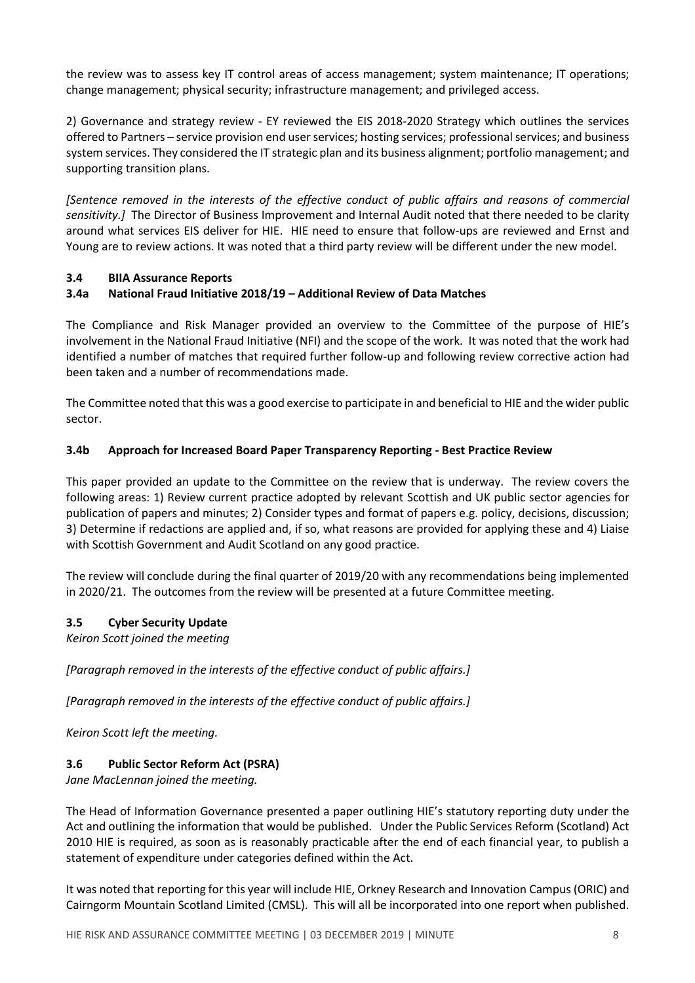the review was to assess key IT control areas of access management; system maintenance; IT operations; change management; physical security; infrastructure management; and privileged access.

2) Governance and strategy review - EY reviewed the EIS 2018-2020 Strategy which outlines the services offered to Partners – service provision end userservices; hosting services; professionalservices; and business system services. They considered the IT strategic plan and its business alignment; portfolio management; and supporting transition plans.

*[Sentence removed in the interests of the effective conduct of public affairs and reasons of commercial sensitivity.]* The Director of Business Improvement and Internal Audit noted that there needed to be clarity around what services EIS deliver for HIE. HIE need to ensure that follow-ups are reviewed and Ernst and Young are to review actions. It was noted that a third party review will be different under the new model.

## **3.4 BIIA Assurance Reports**

# **3.4a National Fraud Initiative 2018/19 – Additional Review of Data Matches**

The Compliance and Risk Manager provided an overview to the Committee of the purpose of HIE's involvement in the National Fraud Initiative (NFI) and the scope of the work. It was noted that the work had identified a number of matches that required further follow-up and following review corrective action had been taken and a number of recommendations made.

The Committee noted that this was a good exercise to participate in and beneficial to HIE and the wider public sector.

## **3.4b Approach for Increased Board Paper Transparency Reporting - Best Practice Review**

This paper provided an update to the Committee on the review that is underway. The review covers the following areas: 1) Review current practice adopted by relevant Scottish and UK public sector agencies for publication of papers and minutes; 2) Consider types and format of papers e.g. policy, decisions, discussion; 3) Determine if redactions are applied and, if so, what reasons are provided for applying these and 4) Liaise with Scottish Government and Audit Scotland on any good practice.

The review will conclude during the final quarter of 2019/20 with any recommendations being implemented in 2020/21. The outcomes from the review will be presented at a future Committee meeting.

### **3.5 Cyber Security Update**

*Keiron Scott joined the meeting*

*[Paragraph removed in the interests of the effective conduct of public affairs.]*

*[Paragraph removed in the interests of the effective conduct of public affairs.]*

*Keiron Scott left the meeting.*

# **3.6 Public Sector Reform Act (PSRA)**

*Jane MacLennan joined the meeting.*

The Head of Information Governance presented a paper outlining HIE's statutory reporting duty under the Act and outlining the information that would be published. Under the Public Services Reform (Scotland) Act 2010 HIE is required, as soon as is reasonably practicable after the end of each financial year, to publish a statement of expenditure under categories defined within the Act.

It was noted that reporting for this year will include HIE, Orkney Research and Innovation Campus (ORIC) and Cairngorm Mountain Scotland Limited (CMSL). This will all be incorporated into one report when published.